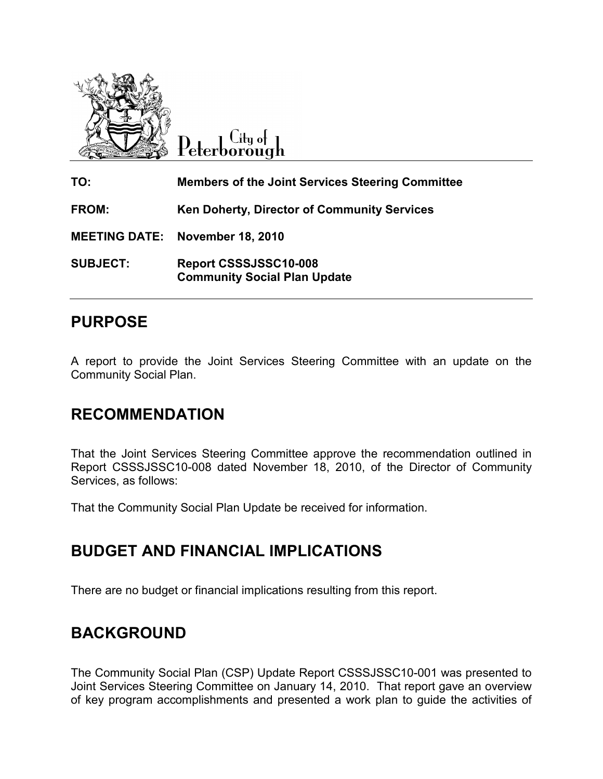

Lity of Peterborough

TO: Members of the Joint Services Steering Committee FROM: Ken Doherty, Director of Community Services MEETING DATE: November 18, 2010 SUBJECT: Report CSSSJSSC10-008 Community Social Plan Update

## PURPOSE

A report to provide the Joint Services Steering Committee with an update on the Community Social Plan.

# RECOMMENDATION

That the Joint Services Steering Committee approve the recommendation outlined in Report CSSSJSSC10-008 dated November 18, 2010, of the Director of Community Services, as follows:

That the Community Social Plan Update be received for information.

# BUDGET AND FINANCIAL IMPLICATIONS

There are no budget or financial implications resulting from this report.

# BACKGROUND

The Community Social Plan (CSP) Update Report CSSSJSSC10-001 was presented to Joint Services Steering Committee on January 14, 2010. That report gave an overview of key program accomplishments and presented a work plan to guide the activities of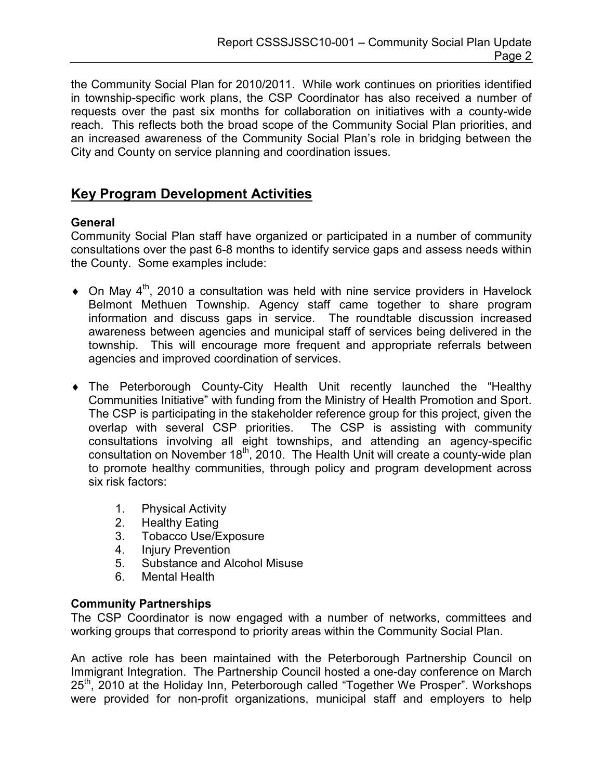the Community Social Plan for 2010/2011. While work continues on priorities identified in township-specific work plans, the CSP Coordinator has also received a number of requests over the past six months for collaboration on initiatives with a county-wide reach. This reflects both the broad scope of the Community Social Plan priorities, and an increased awareness of the Community Social Plan's role in bridging between the City and County on service planning and coordination issues.

## Key Program Development Activities

### General

Community Social Plan staff have organized or participated in a number of community consultations over the past 6-8 months to identify service gaps and assess needs within the County. Some examples include:

- $\bullet$  On May 4<sup>th</sup>, 2010 a consultation was held with nine service providers in Havelock Belmont Methuen Township. Agency staff came together to share program information and discuss gaps in service. The roundtable discussion increased awareness between agencies and municipal staff of services being delivered in the township. This will encourage more frequent and appropriate referrals between agencies and improved coordination of services.
- ♦ The Peterborough County-City Health Unit recently launched the "Healthy Communities Initiative" with funding from the Ministry of Health Promotion and Sport. The CSP is participating in the stakeholder reference group for this project, given the overlap with several CSP priorities. The CSP is assisting with community consultations involving all eight townships, and attending an agency-specific consultation on November  $18<sup>th</sup>$ , 2010. The Health Unit will create a county-wide plan to promote healthy communities, through policy and program development across six risk factors:
	- 1. Physical Activity
	- 2. Healthy Eating
	- 3. Tobacco Use/Exposure
	- 4. Injury Prevention
	- 5. Substance and Alcohol Misuse
	- 6. Mental Health

### Community Partnerships

The CSP Coordinator is now engaged with a number of networks, committees and working groups that correspond to priority areas within the Community Social Plan.

An active role has been maintained with the Peterborough Partnership Council on Immigrant Integration. The Partnership Council hosted a one-day conference on March 25<sup>th</sup>, 2010 at the Holiday Inn, Peterborough called "Together We Prosper". Workshops were provided for non-profit organizations, municipal staff and employers to help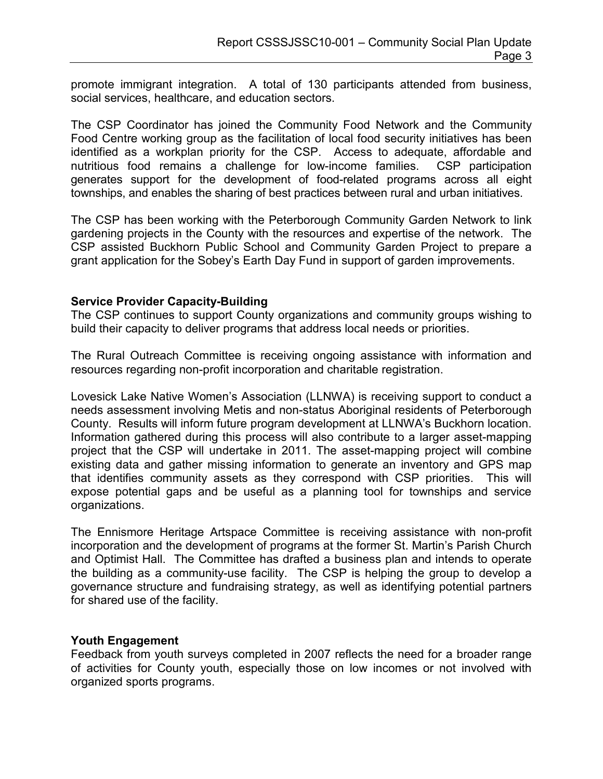promote immigrant integration. A total of 130 participants attended from business, social services, healthcare, and education sectors.

The CSP Coordinator has joined the Community Food Network and the Community Food Centre working group as the facilitation of local food security initiatives has been identified as a workplan priority for the CSP. Access to adequate, affordable and nutritious food remains a challenge for low-income families. CSP participation generates support for the development of food-related programs across all eight townships, and enables the sharing of best practices between rural and urban initiatives.

The CSP has been working with the Peterborough Community Garden Network to link gardening projects in the County with the resources and expertise of the network. The CSP assisted Buckhorn Public School and Community Garden Project to prepare a grant application for the Sobey's Earth Day Fund in support of garden improvements.

### Service Provider Capacity-Building

The CSP continues to support County organizations and community groups wishing to build their capacity to deliver programs that address local needs or priorities.

The Rural Outreach Committee is receiving ongoing assistance with information and resources regarding non-profit incorporation and charitable registration.

Lovesick Lake Native Women's Association (LLNWA) is receiving support to conduct a needs assessment involving Metis and non-status Aboriginal residents of Peterborough County. Results will inform future program development at LLNWA's Buckhorn location. Information gathered during this process will also contribute to a larger asset-mapping project that the CSP will undertake in 2011. The asset-mapping project will combine existing data and gather missing information to generate an inventory and GPS map that identifies community assets as they correspond with CSP priorities. This will expose potential gaps and be useful as a planning tool for townships and service organizations.

The Ennismore Heritage Artspace Committee is receiving assistance with non-profit incorporation and the development of programs at the former St. Martin's Parish Church and Optimist Hall. The Committee has drafted a business plan and intends to operate the building as a community-use facility. The CSP is helping the group to develop a governance structure and fundraising strategy, as well as identifying potential partners for shared use of the facility.

#### Youth Engagement

Feedback from youth surveys completed in 2007 reflects the need for a broader range of activities for County youth, especially those on low incomes or not involved with organized sports programs.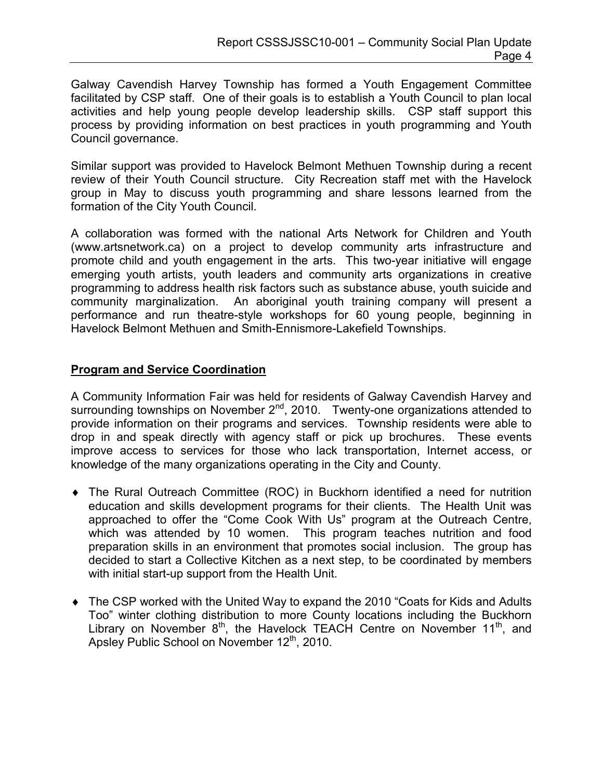Galway Cavendish Harvey Township has formed a Youth Engagement Committee facilitated by CSP staff. One of their goals is to establish a Youth Council to plan local activities and help young people develop leadership skills. CSP staff support this process by providing information on best practices in youth programming and Youth Council governance.

Similar support was provided to Havelock Belmont Methuen Township during a recent review of their Youth Council structure. City Recreation staff met with the Havelock group in May to discuss youth programming and share lessons learned from the formation of the City Youth Council.

A collaboration was formed with the national Arts Network for Children and Youth (www.artsnetwork.ca) on a project to develop community arts infrastructure and promote child and youth engagement in the arts. This two-year initiative will engage emerging youth artists, youth leaders and community arts organizations in creative programming to address health risk factors such as substance abuse, youth suicide and community marginalization. An aboriginal youth training company will present a performance and run theatre-style workshops for 60 young people, beginning in Havelock Belmont Methuen and Smith-Ennismore-Lakefield Townships.

### Program and Service Coordination

A Community Information Fair was held for residents of Galway Cavendish Harvey and surrounding townships on November  $2^{nd}$ , 2010. Twenty-one organizations attended to provide information on their programs and services. Township residents were able to drop in and speak directly with agency staff or pick up brochures. These events improve access to services for those who lack transportation, Internet access, or knowledge of the many organizations operating in the City and County.

- ♦ The Rural Outreach Committee (ROC) in Buckhorn identified a need for nutrition education and skills development programs for their clients. The Health Unit was approached to offer the "Come Cook With Us" program at the Outreach Centre, which was attended by 10 women. This program teaches nutrition and food preparation skills in an environment that promotes social inclusion. The group has decided to start a Collective Kitchen as a next step, to be coordinated by members with initial start-up support from the Health Unit.
- The CSP worked with the United Way to expand the 2010 "Coats for Kids and Adults Too" winter clothing distribution to more County locations including the Buckhorn Library on November  $8<sup>th</sup>$ , the Havelock TEACH Centre on November 11<sup>th</sup>, and Apsley Public School on November 12<sup>th</sup>, 2010.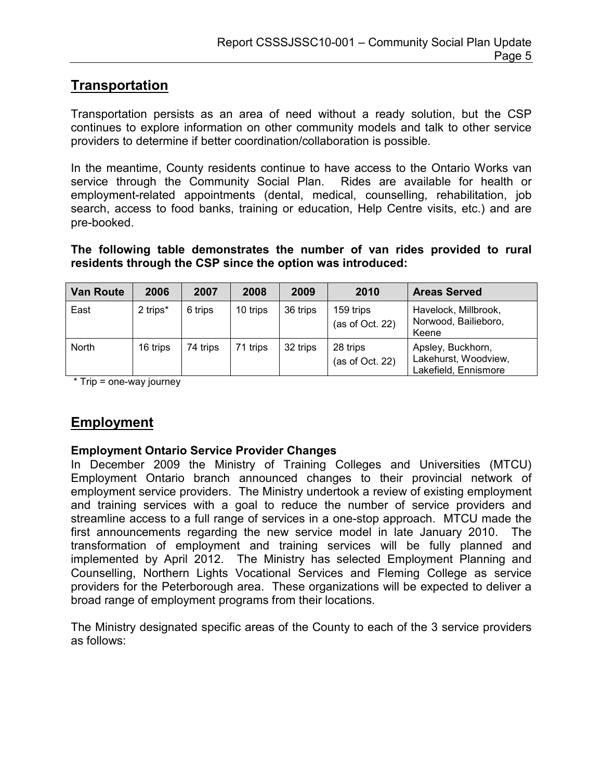## **Transportation**

Transportation persists as an area of need without a ready solution, but the CSP continues to explore information on other community models and talk to other service providers to determine if better coordination/collaboration is possible.

In the meantime, County residents continue to have access to the Ontario Works van service through the Community Social Plan. Rides are available for health or employment-related appointments (dental, medical, counselling, rehabilitation, job search, access to food banks, training or education, Help Centre visits, etc.) and are pre-booked.

The following table demonstrates the number of van rides provided to rural residents through the CSP since the option was introduced:

| <b>Van Route</b> | 2006     | 2007     | 2008     | 2009     | 2010                         | <b>Areas Served</b>                                               |
|------------------|----------|----------|----------|----------|------------------------------|-------------------------------------------------------------------|
| East             | 2 trips* | 6 trips  | 10 trips | 36 trips | 159 trips<br>(as of Oct. 22) | Havelock, Millbrook,<br>Norwood, Bailieboro,<br>Keene             |
| North            | 16 trips | 74 trips | 71 trips | 32 trips | 28 trips<br>(as of Oct. 22)  | Apsley, Buckhorn,<br>Lakehurst, Woodview,<br>Lakefield, Ennismore |

\* Trip = one-way journey

## Employment

### Employment Ontario Service Provider Changes

In December 2009 the Ministry of Training Colleges and Universities (MTCU) Employment Ontario branch announced changes to their provincial network of employment service providers. The Ministry undertook a review of existing employment and training services with a goal to reduce the number of service providers and streamline access to a full range of services in a one-stop approach. MTCU made the first announcements regarding the new service model in late January 2010. The transformation of employment and training services will be fully planned and implemented by April 2012. The Ministry has selected Employment Planning and Counselling, Northern Lights Vocational Services and Fleming College as service providers for the Peterborough area. These organizations will be expected to deliver a broad range of employment programs from their locations.

The Ministry designated specific areas of the County to each of the 3 service providers as follows: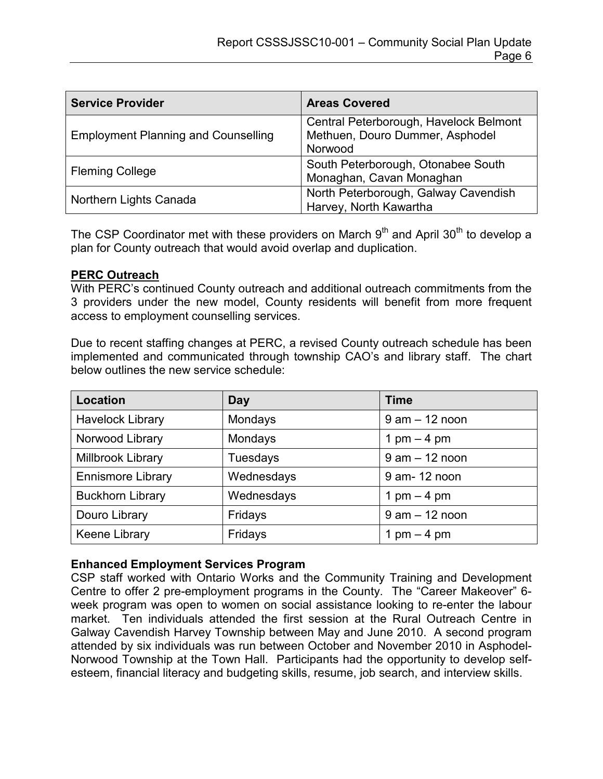| <b>Service Provider</b>                    | <b>Areas Covered</b>                                                                 |  |  |
|--------------------------------------------|--------------------------------------------------------------------------------------|--|--|
| <b>Employment Planning and Counselling</b> | Central Peterborough, Havelock Belmont<br>Methuen, Douro Dummer, Asphodel<br>Norwood |  |  |
| <b>Fleming College</b>                     | South Peterborough, Otonabee South<br>Monaghan, Cavan Monaghan                       |  |  |
| Northern Lights Canada                     | North Peterborough, Galway Cavendish<br>Harvey, North Kawartha                       |  |  |

The CSP Coordinator met with these providers on March  $9<sup>th</sup>$  and April 30<sup>th</sup> to develop a plan for County outreach that would avoid overlap and duplication.

### **PERC Outreach**

With PERC's continued County outreach and additional outreach commitments from the 3 providers under the new model, County residents will benefit from more frequent access to employment counselling services.

Due to recent staffing changes at PERC, a revised County outreach schedule has been implemented and communicated through township CAO's and library staff. The chart below outlines the new service schedule:

| <b>Location</b>          | <b>Day</b>                    | <b>Time</b>       |  |
|--------------------------|-------------------------------|-------------------|--|
| <b>Havelock Library</b>  | Mondays                       | $9$ am $-12$ noon |  |
| Norwood Library          | Mondays                       | 1 pm $-$ 4 pm     |  |
| Millbrook Library        | $9$ am $-12$ noon<br>Tuesdays |                   |  |
| <b>Ennismore Library</b> | Wednesdays                    | 9 am-12 noon      |  |
| <b>Buckhorn Library</b>  | Wednesdays                    | 1 pm $-$ 4 pm     |  |
| Douro Library            | Fridays                       | $9$ am $-12$ noon |  |
| Keene Library            | Fridays                       | 1 pm $-$ 4 pm     |  |

### Enhanced Employment Services Program

CSP staff worked with Ontario Works and the Community Training and Development Centre to offer 2 pre-employment programs in the County. The "Career Makeover" 6 week program was open to women on social assistance looking to re-enter the labour market. Ten individuals attended the first session at the Rural Outreach Centre in Galway Cavendish Harvey Township between May and June 2010. A second program attended by six individuals was run between October and November 2010 in Asphodel-Norwood Township at the Town Hall. Participants had the opportunity to develop selfesteem, financial literacy and budgeting skills, resume, job search, and interview skills.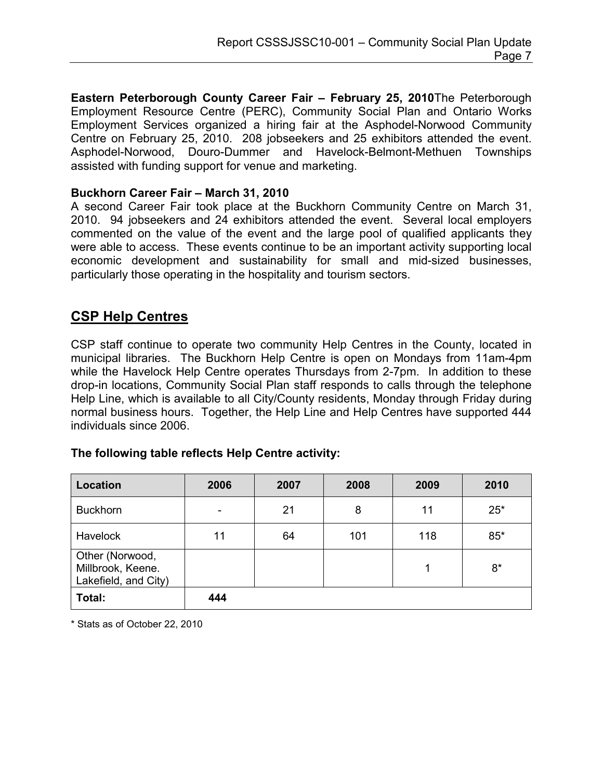Eastern Peterborough County Career Fair – February 25, 2010The Peterborough Employment Resource Centre (PERC), Community Social Plan and Ontario Works Employment Services organized a hiring fair at the Asphodel-Norwood Community Centre on February 25, 2010. 208 jobseekers and 25 exhibitors attended the event. Asphodel-Norwood, Douro-Dummer and Havelock-Belmont-Methuen Townships assisted with funding support for venue and marketing.

### Buckhorn Career Fair – March 31, 2010

A second Career Fair took place at the Buckhorn Community Centre on March 31, 2010. 94 jobseekers and 24 exhibitors attended the event. Several local employers commented on the value of the event and the large pool of qualified applicants they were able to access. These events continue to be an important activity supporting local economic development and sustainability for small and mid-sized businesses, particularly those operating in the hospitality and tourism sectors.

### CSP Help Centres

CSP staff continue to operate two community Help Centres in the County, located in municipal libraries. The Buckhorn Help Centre is open on Mondays from 11am-4pm while the Havelock Help Centre operates Thursdays from 2-7pm. In addition to these drop-in locations, Community Social Plan staff responds to calls through the telephone Help Line, which is available to all City/County residents, Monday through Friday during normal business hours. Together, the Help Line and Help Centres have supported 444 individuals since 2006.

### The following table reflects Help Centre activity:

| Location                                                     | 2006 | 2007 | 2008 | 2009 | 2010  |
|--------------------------------------------------------------|------|------|------|------|-------|
| <b>Buckhorn</b>                                              |      | 21   | 8    | 11   | $25*$ |
| <b>Havelock</b>                                              | 11   | 64   | 101  | 118  | $85*$ |
| Other (Norwood,<br>Millbrook, Keene.<br>Lakefield, and City) |      |      |      | 1    | 8*    |
| Total:                                                       | 444  |      |      |      |       |

\* Stats as of October 22, 2010